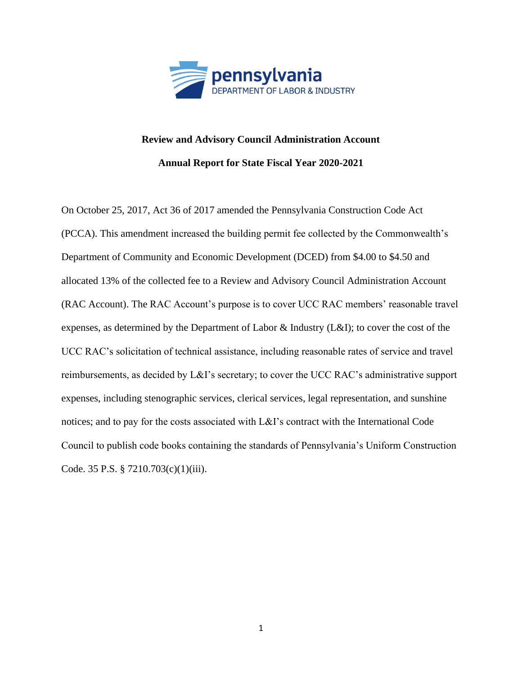

## **Review and Advisory Council Administration Account Annual Report for State Fiscal Year 2020-2021**

On October 25, 2017, Act 36 of 2017 amended the Pennsylvania Construction Code Act (PCCA). This amendment increased the building permit fee collected by the Commonwealth's Department of Community and Economic Development (DCED) from \$4.00 to \$4.50 and allocated 13% of the collected fee to a Review and Advisory Council Administration Account (RAC Account). The RAC Account's purpose is to cover UCC RAC members' reasonable travel expenses, as determined by the Department of Labor & Industry (L&I); to cover the cost of the UCC RAC's solicitation of technical assistance, including reasonable rates of service and travel reimbursements, as decided by L&I's secretary; to cover the UCC RAC's administrative support expenses, including stenographic services, clerical services, legal representation, and sunshine notices; and to pay for the costs associated with L&I's contract with the International Code Council to publish code books containing the standards of Pennsylvania's Uniform Construction Code. 35 P.S. § 7210.703(c)(1)(iii).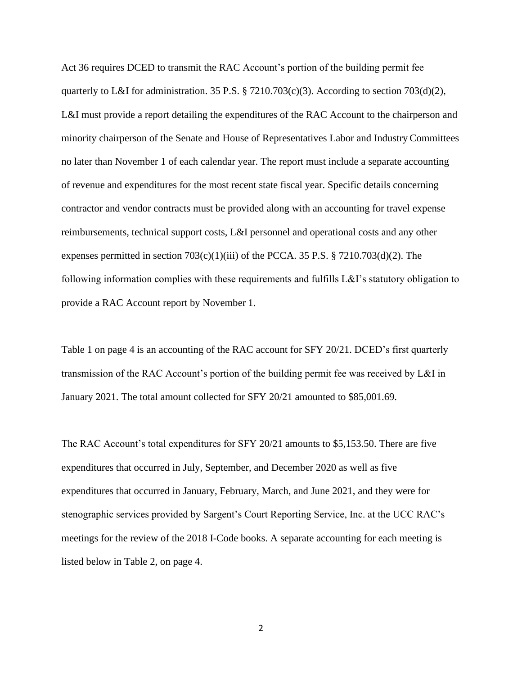Act 36 requires DCED to transmit the RAC Account's portion of the building permit fee quarterly to L&I for administration. 35 P.S. § 7210.703(c)(3). According to section 703(d)(2), L&I must provide a report detailing the expenditures of the RAC Account to the chairperson and minority chairperson of the Senate and House of Representatives Labor and Industry Committees no later than November 1 of each calendar year. The report must include a separate accounting of revenue and expenditures for the most recent state fiscal year. Specific details concerning contractor and vendor contracts must be provided along with an accounting for travel expense reimbursements, technical support costs, L&I personnel and operational costs and any other expenses permitted in section  $703(c)(1)(iii)$  of the PCCA. 35 P.S. §  $7210.703(d)(2)$ . The following information complies with these requirements and fulfills L&I's statutory obligation to provide a RAC Account report by November 1.

Table 1 on page 4 is an accounting of the RAC account for SFY 20/21. DCED's first quarterly transmission of the RAC Account's portion of the building permit fee was received by L&I in January 2021. The total amount collected for SFY 20/21 amounted to \$85,001.69.

The RAC Account's total expenditures for SFY 20/21 amounts to \$5,153.50. There are five expenditures that occurred in July, September, and December 2020 as well as five expenditures that occurred in January, February, March, and June 2021, and they were for stenographic services provided by Sargent's Court Reporting Service, Inc. at the UCC RAC's meetings for the review of the 2018 I-Code books. A separate accounting for each meeting is listed below in Table 2, on page 4.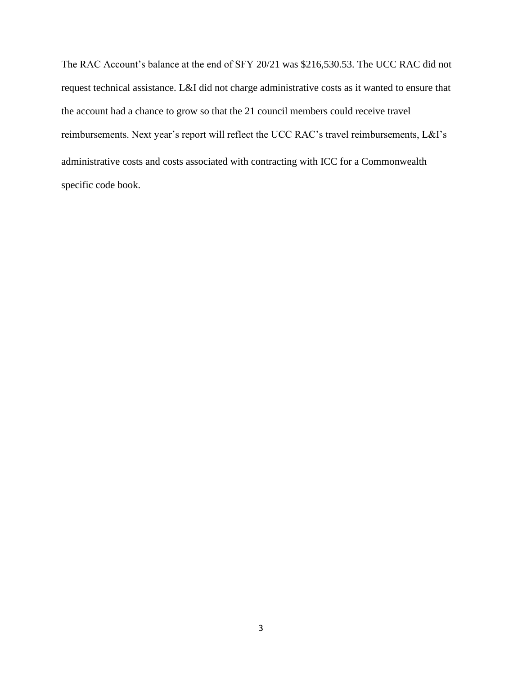The RAC Account's balance at the end of SFY 20/21 was \$216,530.53. The UCC RAC did not request technical assistance. L&I did not charge administrative costs as it wanted to ensure that the account had a chance to grow so that the 21 council members could receive travel reimbursements. Next year's report will reflect the UCC RAC's travel reimbursements, L&I's administrative costs and costs associated with contracting with ICC for a Commonwealth specific code book.